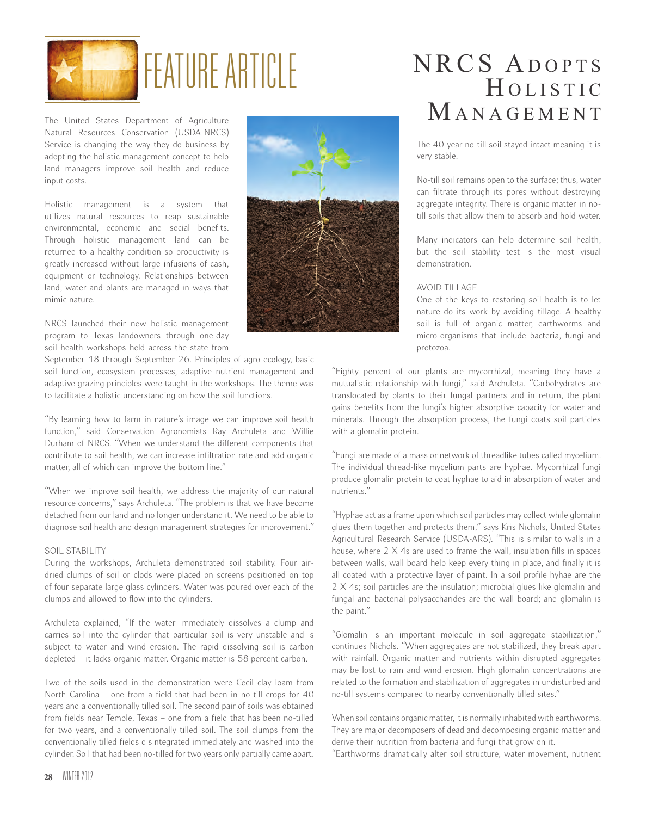

Natural Resources Conservation (USDA-NRCS) Service is changing the way they do business by adopting the holistic management concept to help land managers improve soil health and reduce input costs.

Holistic management is a system that utilizes natural resources to reap sustainable environmental, economic and social benefits. Through holistic management land can be returned to a healthy condition so productivity is greatly increased without large infusions of cash, equipment or technology. Relationships between land, water and plants are managed in ways that mimic nature.

NRCS launched their new holistic management program to Texas landowners through one-day soil health workshops held across the state from

September 18 through September 26. Principles of agro-ecology, basic soil function, ecosystem processes, adaptive nutrient management and adaptive grazing principles were taught in the workshops. The theme was to facilitate a holistic understanding on how the soil functions.

"By learning how to farm in nature's image we can improve soil health function," said Conservation Agronomists Ray Archuleta and Willie Durham of NRCS. "When we understand the different components that contribute to soil health, we can increase infiltration rate and add organic matter, all of which can improve the bottom line."

"When we improve soil health, we address the majority of our natural resource concerns," says Archuleta. "The problem is that we have become detached from our land and no longer understand it. We need to be able to diagnose soil health and design management strategies for improvement."

## SOIL STABILITY

During the workshops, Archuleta demonstrated soil stability. Four airdried clumps of soil or clods were placed on screens positioned on top of four separate large glass cylinders. Water was poured over each of the clumps and allowed to flow into the cylinders.

Archuleta explained, "If the water immediately dissolves a clump and carries soil into the cylinder that particular soil is very unstable and is subject to water and wind erosion. The rapid dissolving soil is carbon depleted – it lacks organic matter. Organic matter is 58 percent carbon.

Two of the soils used in the demonstration were Cecil clay loam from North Carolina – one from a field that had been in no-till crops for 40 years and a conventionally tilled soil. The second pair of soils was obtained from fields near Temple, Texas – one from a field that has been no-tilled for two years, and a conventionally tilled soil. The soil clumps from the conventionally tilled fields disintegrated immediately and washed into the cylinder. Soil that had been no-tilled for two years only partially came apart.



## NRCS ADOPTS HOLISTIC The United States Department of Agriculture M and  $M$  and  $M$  and  $\overline{M}$  and  $\overline{M}$  and  $\overline{M}$  and  $\overline{M}$  and  $\overline{M}$  and  $\overline{M}$  and  $\overline{M}$  and  $\overline{M}$  and  $\overline{M}$  and  $\overline{M}$  and  $\overline{M}$  and  $\overline{M}$  and

The 40-year no-till soil stayed intact meaning it is very stable.

No-till soil remains open to the surface; thus, water can filtrate through its pores without destroying aggregate integrity. There is organic matter in notill soils that allow them to absorb and hold water.

Many indicators can help determine soil health, but the soil stability test is the most visual demonstration.

## AVOID TILLAGE

One of the keys to restoring soil health is to let nature do its work by avoiding tillage. A healthy soil is full of organic matter, earthworms and micro-organisms that include bacteria, fungi and protozoa.

"Eighty percent of our plants are mycorrhizal, meaning they have a mutualistic relationship with fungi," said Archuleta. "Carbohydrates are translocated by plants to their fungal partners and in return, the plant gains benefits from the fungi's higher absorptive capacity for water and minerals. Through the absorption process, the fungi coats soil particles with a glomalin protein.

"Fungi are made of a mass or network of threadlike tubes called mycelium. The individual thread-like mycelium parts are hyphae. Mycorrhizal fungi produce glomalin protein to coat hyphae to aid in absorption of water and nutrients."

"Hyphae act as a frame upon which soil particles may collect while glomalin glues them together and protects them," says Kris Nichols, United States Agricultural Research Service (USDA-ARS). "This is similar to walls in a house, where 2 X 4s are used to frame the wall, insulation fills in spaces between walls, wall board help keep every thing in place, and finally it is all coated with a protective layer of paint. In a soil profile hyhae are the 2 X 4s; soil particles are the insulation; microbial glues like glomalin and fungal and bacterial polysaccharides are the wall board; and glomalin is the paint."

"Glomalin is an important molecule in soil aggregate stabilization," continues Nichols. "When aggregates are not stabilized, they break apart with rainfall. Organic matter and nutrients within disrupted aggregates may be lost to rain and wind erosion. High glomalin concentrations are related to the formation and stabilization of aggregates in undisturbed and no-till systems compared to nearby conventionally tilled sites."

When soil contains organic matter, it is normally inhabited with earthworms. They are major decomposers of dead and decomposing organic matter and derive their nutrition from bacteria and fungi that grow on it.

"Earthworms dramatically alter soil structure, water movement, nutrient